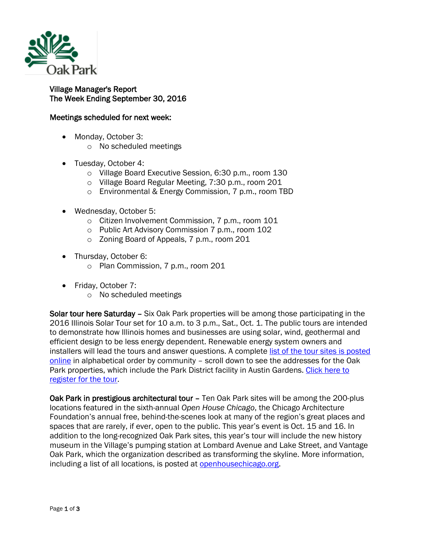

Village Manager's Report The Week Ending September 30, 2016

## Meetings scheduled for next week:

- Monday, October 3:
	- o No scheduled meetings
- Tuesday, October 4:
	- o Village Board Executive Session, 6:30 p.m., room 130
	- o Village Board Regular Meeting, 7:30 p.m., room 201
	- o Environmental & Energy Commission, 7 p.m., room TBD
- Wednesday, October 5:
	- o Citizen Involvement Commission, 7 p.m., room 101
	- o Public Art Advisory Commission 7 p.m., room 102
	- o Zoning Board of Appeals, 7 p.m., room 201
- Thursday, October 6:
	- o Plan Commission, 7 p.m., room 201
- Friday, October 7:
	- o No scheduled meetings

Solar tour here Saturday – Six Oak Park properties will be among those participating in the 2016 Illinois Solar Tour set for 10 a.m. to 3 p.m., Sat., Oct. 1. The public tours are intended to demonstrate how Illinois homes and businesses are using solar, wind, geothermal and efficient design to be less energy dependent. Renewable energy system owners and installers will lead the tours and answer questions. A complete [list of the tour sites is posted](http://www.illinoissolartour.org/folder1/Northern.html)  [online](http://www.illinoissolartour.org/folder1/Northern.html) in alphabetical order by community - scroll down to see the addresses for the Oak Park properties, which include the Park District facility in Austin Gardens. [Click here to](http://www.illinoissolar.org/event-2253042/Registration)  [register for the tour.](http://www.illinoissolar.org/event-2253042/Registration)

Oak Park in prestigious architectural tour - Ten Oak Park sites will be among the 200-plus locations featured in the sixth-annual *Open House Chicago*, the Chicago Architecture Foundation's annual free, behind-the-scenes look at many of the region's great places and spaces that are rarely, if ever, open to the public. This year's event is Oct. 15 and 16. In addition to the long-recognized Oak Park sites, this year's tour will include the new history museum in the Village's pumping station at Lombard Avenue and Lake Street, and Vantage Oak Park, which the organization described as transforming the skyline. More information, including a list of all locations, is posted at [openhousechicago.org.](http://openhousechicago.org/)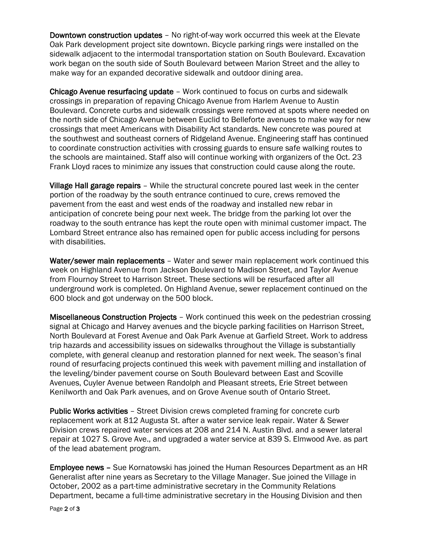Downtown construction updates – No right-of-way work occurred this week at the Elevate Oak Park development project site downtown. Bicycle parking rings were installed on the sidewalk adjacent to the intermodal transportation station on South Boulevard. Excavation work began on the south side of South Boulevard between Marion Street and the alley to make way for an expanded decorative sidewalk and outdoor dining area.

Chicago Avenue resurfacing update – Work continued to focus on curbs and sidewalk crossings in preparation of repaving Chicago Avenue from Harlem Avenue to Austin Boulevard. Concrete curbs and sidewalk crossings were removed at spots where needed on the north side of Chicago Avenue between Euclid to Belleforte avenues to make way for new crossings that meet Americans with Disability Act standards. New concrete was poured at the southwest and southeast corners of Ridgeland Avenue. Engineering staff has continued to coordinate construction activities with crossing guards to ensure safe walking routes to the schools are maintained. Staff also will continue working with organizers of the Oct. 23 Frank Lloyd races to minimize any issues that construction could cause along the route.

Village Hall garage repairs – While the structural concrete poured last week in the center portion of the roadway by the south entrance continued to cure, crews removed the pavement from the east and west ends of the roadway and installed new rebar in anticipation of concrete being pour next week. The bridge from the parking lot over the roadway to the south entrance has kept the route open with minimal customer impact. The Lombard Street entrance also has remained open for public access including for persons with disabilities.

Water/sewer main replacements - Water and sewer main replacement work continued this week on Highland Avenue from Jackson Boulevard to Madison Street, and Taylor Avenue from Flournoy Street to Harrison Street. These sections will be resurfaced after all underground work is completed. On Highland Avenue, sewer replacement continued on the 600 block and got underway on the 500 block.

Miscellaneous Construction Projects – Work continued this week on the pedestrian crossing signal at Chicago and Harvey avenues and the bicycle parking facilities on Harrison Street, North Boulevard at Forest Avenue and Oak Park Avenue at Garfield Street. Work to address trip hazards and accessibility issues on sidewalks throughout the Village is substantially complete, with general cleanup and restoration planned for next week. The season's final round of resurfacing projects continued this week with pavement milling and installation of the leveling/binder pavement course on South Boulevard between East and Scoville Avenues, Cuyler Avenue between Randolph and Pleasant streets, Erie Street between Kenilworth and Oak Park avenues, and on Grove Avenue south of Ontario Street.

Public Works activities – Street Division crews completed framing for concrete curb replacement work at 812 Augusta St. after a water service leak repair. Water & Sewer Division crews repaired water services at 208 and 214 N. Austin Blvd. and a sewer lateral repair at 1027 S. Grove Ave., and upgraded a water service at 839 S. Elmwood Ave. as part of the lead abatement program.

Employee news – Sue Kornatowski has joined the Human Resources Department as an HR Generalist after nine years as Secretary to the Village Manager. Sue joined the Village in October, 2002 as a part-time administrative secretary in the Community Relations Department, became a full-time administrative secretary in the Housing Division and then